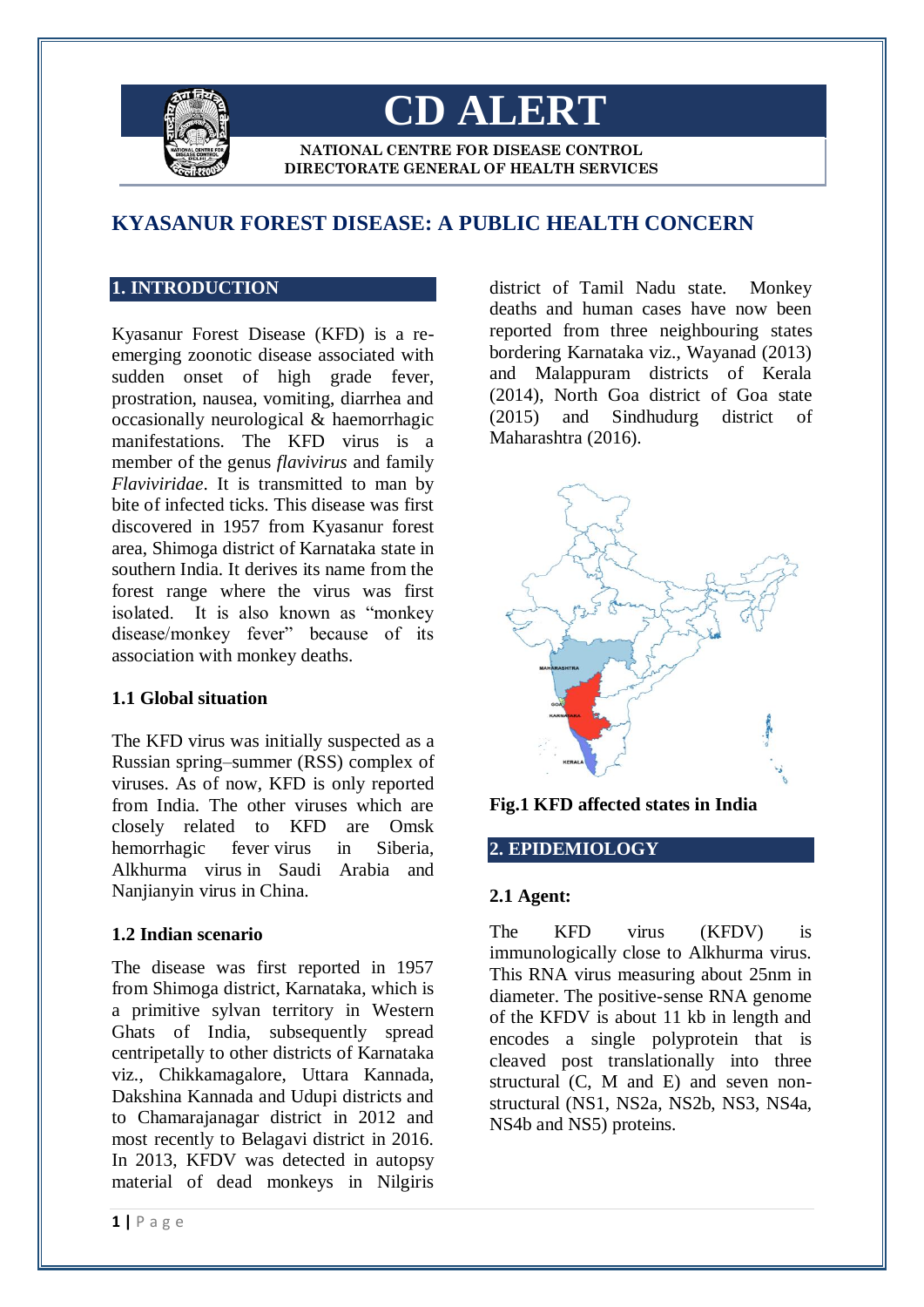

# **CD ALERT**

**NATIONAL CENTRE FOR DISEASE CONTROL DIRECTORATE GENERAL OF HEALTH SERVICES**

# **KYASANUR FOREST DISEASE: A PUBLIC HEALTH CONCERN**

# **1. INTRODUCTION**

Kyasanur Forest Disease (KFD) is a reemerging zoonotic disease associated with sudden onset of high grade fever, prostration, nausea, vomiting, diarrhea and occasionally neurological & haemorrhagic manifestations. The KFD virus is a member of the genus *flavivirus* and family *Flaviviridae*. It is transmitted to man by bite of infected ticks. This disease was first discovered in 1957 from Kyasanur forest area, Shimoga district of Karnataka state in southern India. It derives its name from the forest range where the virus was first isolated. It is also known as "monkey disease/monkey fever" because of its association with monkey deaths.

#### **1.1 Global situation**

The KFD virus was initially suspected as a Russian spring–summer (RSS) complex of viruses. As of now, KFD is only reported from India. The other viruses which are closely related to KFD are Omsk hemorrhagic fever virus in Siberia, Alkhurma virus in Saudi Arabia and Nanjianyin virus in China.

# **1.2 Indian scenario**

The disease was first reported in 1957 from Shimoga district, Karnataka, which is a primitive sylvan territory in Western Ghats of India, subsequently spread centripetally to other districts of Karnataka viz., Chikkamagalore, Uttara Kannada, Dakshina Kannada and Udupi districts and to Chamarajanagar district in 2012 and most recently to Belagavi district in 2016. In 2013, KFDV was detected in autopsy material of dead monkeys in Nilgiris deaths and human cases have now been reported from three neighbouring states bordering Karnataka viz., Wayanad (2013) and Malappuram districts of Kerala (2014), North Goa district of Goa state (2015) and Sindhudurg district of Maharashtra (2016).

district of Tamil Nadu state. Monkey



**Fig.1 KFD affected states in India**

# **2. EPIDEMIOLOGY**

#### **2.1 Agent:**

The KFD virus (KFDV) is immunologically close to Alkhurma virus. This RNA virus measuring about 25nm in diameter. The positive-sense RNA genome of the KFDV is about 11 kb in length and encodes a single polyprotein that is cleaved post translationally into three structural (C, M and E) and seven nonstructural (NS1, NS2a, NS2b, NS3, NS4a, NS4b and NS5) proteins.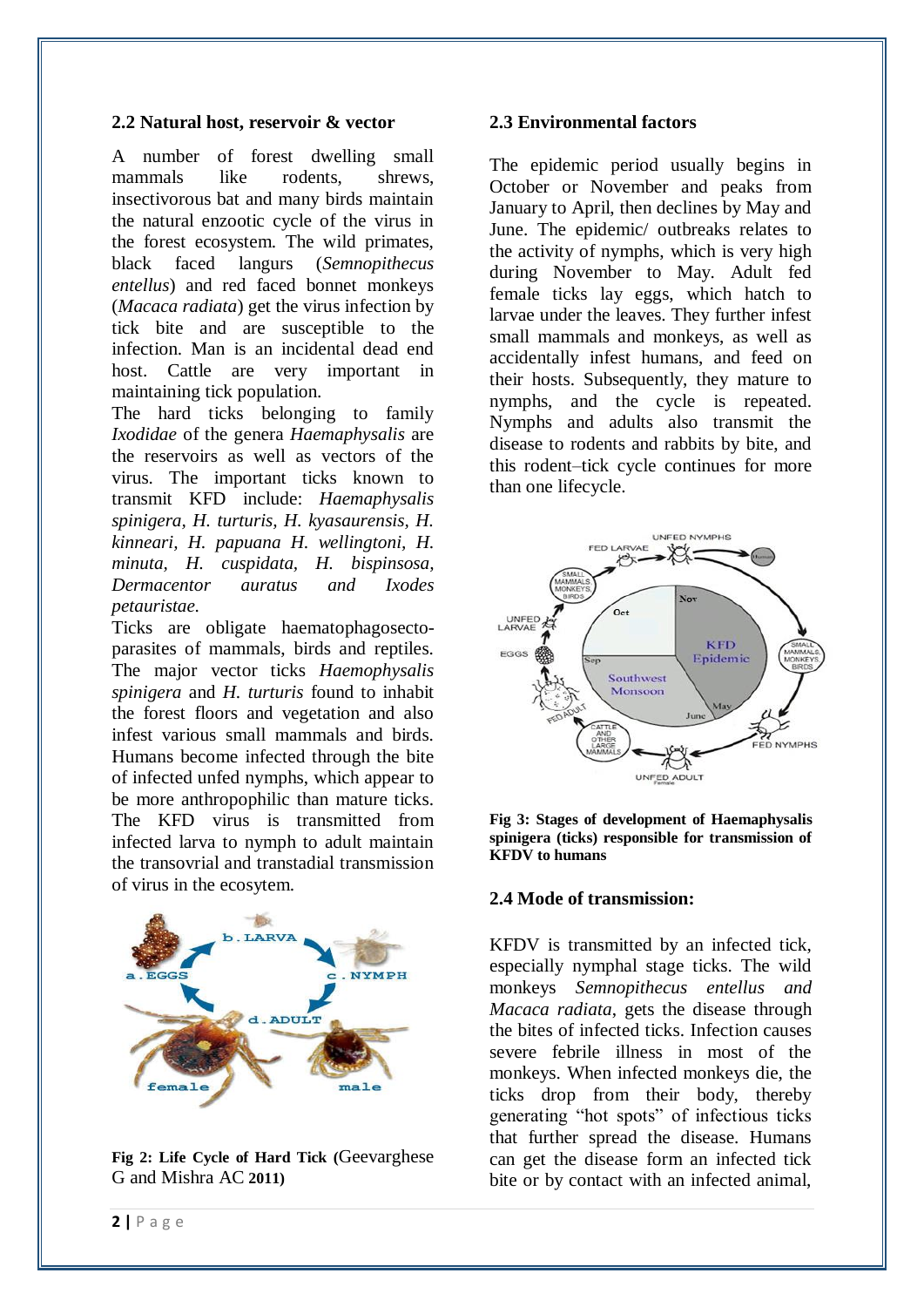#### **2.2 Natural host, reservoir & vector**

A number of forest dwelling small mammals like rodents, shrews, insectivorous bat and many birds maintain the natural enzootic cycle of the virus in the forest ecosystem. The wild primates, black faced langurs (*Semnopithecus entellus*) and red faced bonnet monkeys (*Macaca radiata*) get the virus infection by tick bite and are susceptible to the infection. Man is an incidental dead end host. Cattle are very important in maintaining tick population.

The hard ticks belonging to family *Ixodidae* of the genera *Haemaphysalis* are the reservoirs as well as vectors of the virus. The important ticks known to transmit KFD include: *Haemaphysalis spinigera, H. turturis, H. kyasaurensis, H. kinneari, H. papuana H. wellingtoni, H. minuta, H. cuspidata, H. bispinsosa, Dermacentor auratus and Ixodes petauristae.*

Ticks are obligate haematophagosectoparasites of mammals, birds and reptiles. The major vector ticks *Haemophysalis spinigera* and *H. turturis* found to inhabit the forest floors and vegetation and also infest various small mammals and birds. Humans become infected through the bite of infected unfed nymphs, which appear to be more anthropophilic than mature ticks. The KFD virus is transmitted from infected larva to nymph to adult maintain the transovrial and transtadial transmission of virus in the ecosytem.



**Fig 2: Life Cycle of Hard Tick (**Geevarghese G and Mishra AC **2011)**

#### **2.3 Environmental factors**

The epidemic period usually begins in October or November and peaks from January to April, then declines by May and June. The epidemic/ outbreaks relates to the activity of nymphs, which is very high during November to May. Adult fed female ticks lay eggs, which hatch to larvae under the leaves. They further infest small mammals and monkeys, as well as accidentally infest humans, and feed on their hosts. Subsequently, they mature to nymphs, and the cycle is repeated. Nymphs and adults also transmit the disease to rodents and rabbits by bite, and this rodent–tick cycle continues for more than one lifecycle.





#### **2.4 Mode of transmission:**

KFDV is transmitted by an infected tick, especially nymphal stage ticks. The wild monkeys *Semnopithecus entellus and Macaca radiata*, gets the disease through the bites of infected ticks. Infection causes severe febrile illness in most of the monkeys. When infected monkeys die, the ticks drop from their body, thereby generating "hot spots" of infectious ticks that further spread the disease. Humans can get the disease form an infected tick bite or by contact with an infected animal,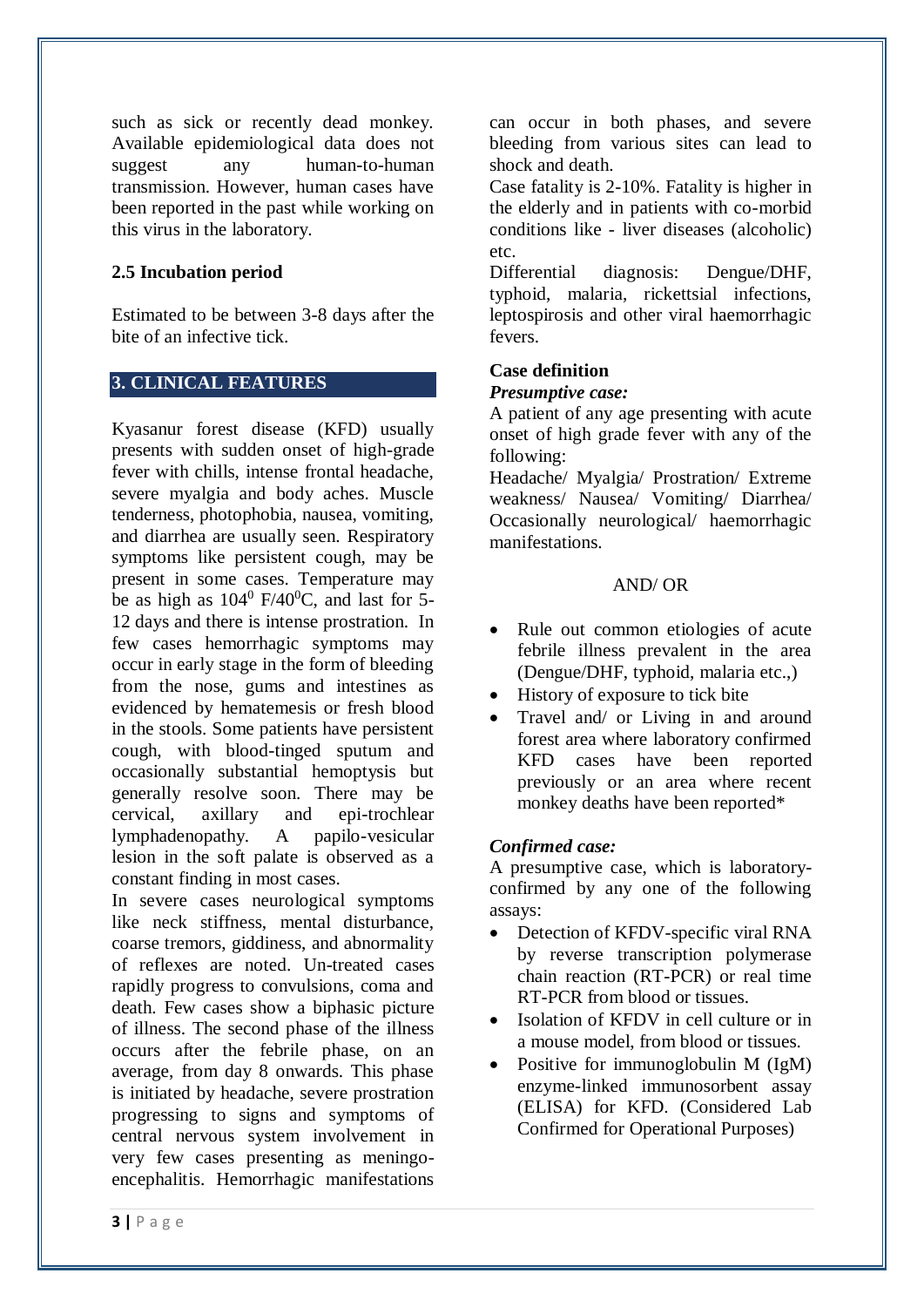such as sick or recently dead monkey. Available epidemiological data does not suggest any human-to-human transmission. However, human cases have been reported in the past while working on this virus in the laboratory.

# **2.5 Incubation period**

Estimated to be between 3-8 days after the bite of an infective tick.

# **3. CLINICAL FEATURES**

Kyasanur forest disease (KFD) usually presents with sudden onset of high-grade fever with chills, intense frontal headache, severe myalgia and body aches. Muscle tenderness, photophobia, nausea, vomiting, and diarrhea are usually seen. Respiratory symptoms like persistent cough, may be present in some cases. Temperature may be as high as  $104^{\circ}$  F/40<sup>o</sup>C, and last for 5-12 days and there is intense prostration. In few cases hemorrhagic symptoms may occur in early stage in the form of bleeding from the nose, gums and intestines as evidenced by hematemesis or fresh blood in the stools. Some patients have persistent cough, with blood-tinged sputum and occasionally substantial hemoptysis but generally resolve soon. There may be cervical, axillary and epi-trochlear lymphadenopathy. A papilo-vesicular lesion in the soft palate is observed as a constant finding in most cases.

In severe cases neurological symptoms like neck stiffness, mental disturbance, coarse tremors, giddiness, and abnormality of reflexes are noted. Un-treated cases rapidly progress to convulsions, coma and death. Few cases show a biphasic picture of illness. The second phase of the illness occurs after the febrile phase, on an average, from day 8 onwards. This phase is initiated by headache, severe prostration progressing to signs and symptoms of central nervous system involvement in very few cases presenting as meningoencephalitis. Hemorrhagic manifestations can occur in both phases, and severe bleeding from various sites can lead to shock and death.

Case fatality is 2-10%. Fatality is higher in the elderly and in patients with co-morbid conditions like - liver diseases (alcoholic) etc.

Differential diagnosis: Dengue/DHF, typhoid, malaria, rickettsial infections, leptospirosis and other viral haemorrhagic fevers.

# **Case definition**

# *Presumptive case:*

A patient of any age presenting with acute onset of high grade fever with any of the following:

Headache/ Myalgia/ Prostration/ Extreme weakness/ Nausea/ Vomiting/ Diarrhea/ Occasionally neurological/ haemorrhagic manifestations.

# AND/ OR

- Rule out common etiologies of acute febrile illness prevalent in the area (Dengue/DHF, typhoid, malaria etc.,)
- History of exposure to tick bite
- Travel and/ or Living in and around forest area where laboratory confirmed KFD cases have been reported previously or an area where recent monkey deaths have been reported\*

# *Confirmed case:*

A presumptive case, which is laboratoryconfirmed by any one of the following assays:

- Detection of KFDV-specific viral RNA by reverse transcription polymerase chain reaction (RT-PCR) or real time RT-PCR from blood or tissues.
- Isolation of KFDV in cell culture or in a mouse model, from blood or tissues.
- Positive for immunoglobulin M (IgM) enzyme-linked immunosorbent assay (ELISA) for KFD. (Considered Lab Confirmed for Operational Purposes)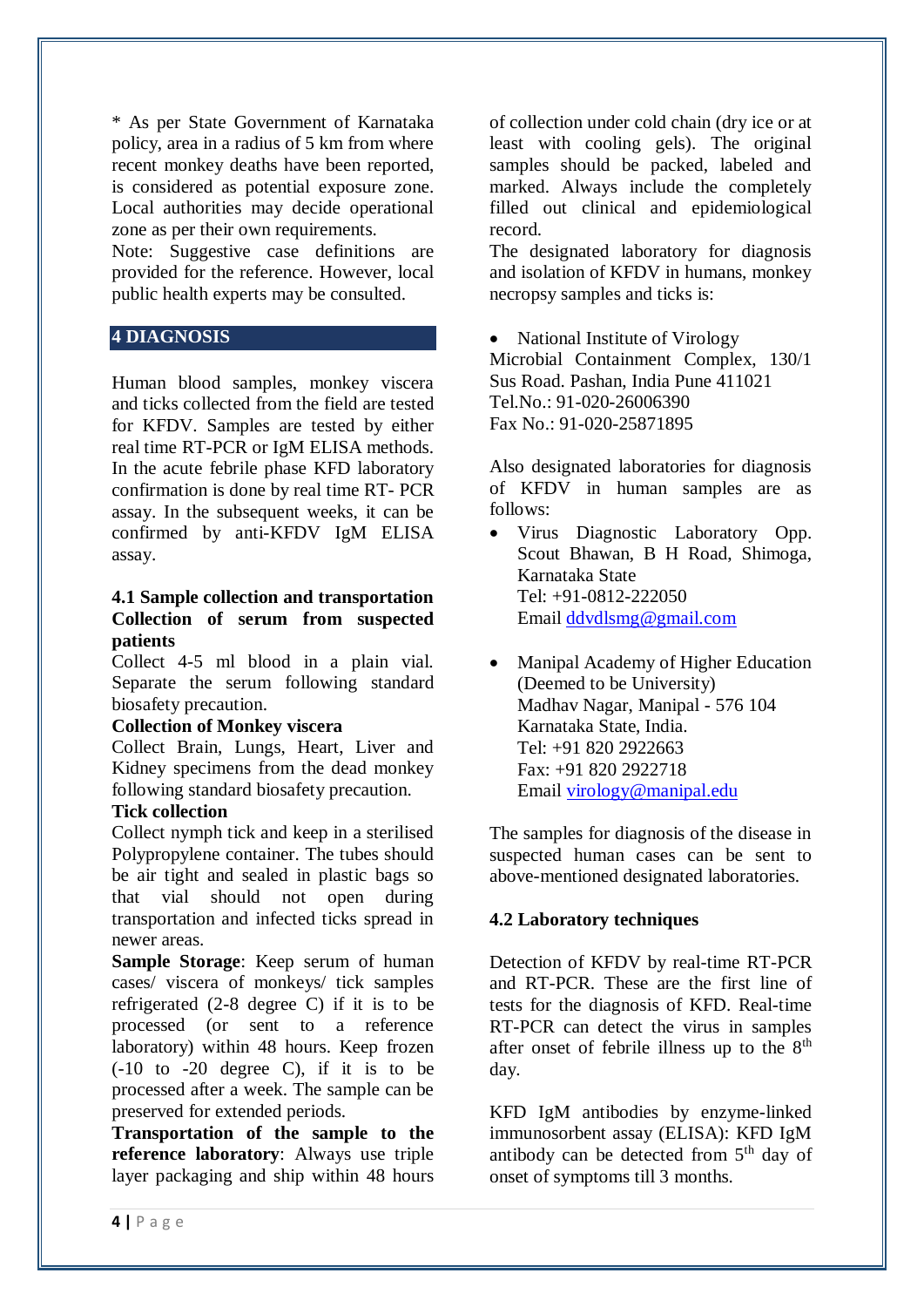\* As per State Government of Karnataka policy, area in a radius of 5 km from where recent monkey deaths have been reported, is considered as potential exposure zone. Local authorities may decide operational zone as per their own requirements.

Note: Suggestive case definitions are provided for the reference. However, local public health experts may be consulted.

# **4 DIAGNOSIS**

Human blood samples, monkey viscera and ticks collected from the field are tested for KFDV. Samples are tested by either real time RT-PCR or IgM ELISA methods. In the acute febrile phase KFD laboratory confirmation is done by real time RT- PCR assay. In the subsequent weeks, it can be confirmed by anti-KFDV IgM ELISA assay.

### **4.1 Sample collection and transportation Collection of serum from suspected patients**

Collect 4-5 ml blood in a plain vial. Separate the serum following standard biosafety precaution.

# **Collection of Monkey viscera**

Collect Brain, Lungs, Heart, Liver and Kidney specimens from the dead monkey following standard biosafety precaution.

# **Tick collection**

Collect nymph tick and keep in a sterilised Polypropylene container. The tubes should be air tight and sealed in plastic bags so that vial should not open during transportation and infected ticks spread in newer areas.

**Sample Storage:** Keep serum of human cases/ viscera of monkeys/ tick samples refrigerated (2-8 degree C) if it is to be processed (or sent to a reference laboratory) within 48 hours. Keep frozen (-10 to -20 degree C), if it is to be processed after a week. The sample can be preserved for extended periods.

**Transportation of the sample to the reference laboratory**: Always use triple layer packaging and ship within 48 hours of collection under cold chain (dry ice or at least with cooling gels). The original samples should be packed, labeled and marked. Always include the completely filled out clinical and epidemiological record.

The designated laboratory for diagnosis and isolation of KFDV in humans, monkey necropsy samples and ticks is:

 National Institute of Virology Microbial Containment Complex, 130/1 Sus Road. Pashan, India Pune 411021 Tel.No.: 91-020-26006390

Fax No.: 91-020-25871895

Also designated laboratories for diagnosis of KFDV in human samples are as follows:

- Virus Diagnostic Laboratory Opp. Scout Bhawan, B H Road, Shimoga, Karnataka State Tel: +91-0812-222050 Email [ddvdlsmg@gmail.com](mailto:ddvdlsmg@gmail.com)
- Manipal Academy of Higher Education (Deemed to be University) Madhav Nagar, Manipal - 576 104 Karnataka State, India. Tel: +91 820 2922663 Fax: +91 820 2922718 Email [virology@manipal.edu](mailto:virology@manipal.edu)

The samples for diagnosis of the disease in suspected human cases can be sent to above-mentioned designated laboratories.

# **4.2 Laboratory techniques**

Detection of KFDV by real-time RT-PCR and RT-PCR. These are the first line of tests for the diagnosis of KFD. Real-time RT-PCR can detect the virus in samples after onset of febrile illness up to the  $8<sup>th</sup>$ day.

KFD IgM antibodies by enzyme-linked immunosorbent assay (ELISA): KFD IgM antibody can be detected from  $5<sup>th</sup>$  day of onset of symptoms till 3 months.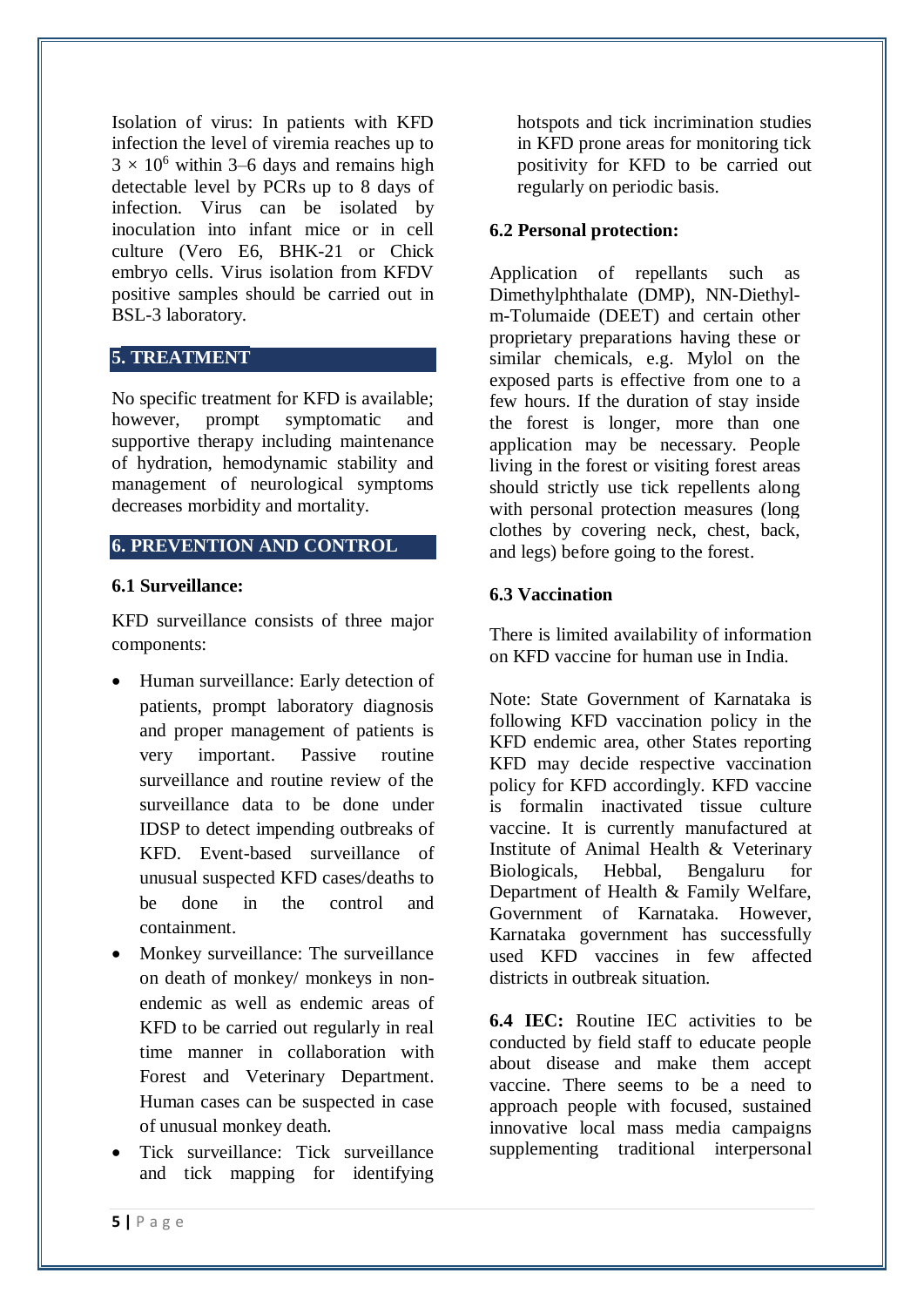Isolation of virus: In patients with KFD infection the level of viremia reaches up to  $3 \times 10^6$  within 3–6 days and remains high detectable level by PCRs up to 8 days of infection. Virus can be isolated by inoculation into infant mice or in cell culture (Vero E6, BHK-21 or Chick embryo cells. Virus isolation from KFDV positive samples should be carried out in BSL-3 laboratory.

# **5. TREATMENT**

No specific treatment for KFD is available; however, prompt symptomatic and supportive therapy including maintenance of hydration, hemodynamic stability and management of neurological symptoms decreases morbidity and mortality.

## **6. PREVENTION AND CONTROL**

#### **6.1 Surveillance:**

KFD surveillance consists of three major components:

- Human surveillance: Early detection of patients, prompt laboratory diagnosis and proper management of patients is very important. Passive routine surveillance and routine review of the surveillance data to be done under IDSP to detect impending outbreaks of KFD. Event-based surveillance of unusual suspected KFD cases/deaths to be done in the control and containment.
- Monkey surveillance: The surveillance on death of monkey/ monkeys in nonendemic as well as endemic areas of KFD to be carried out regularly in real time manner in collaboration with Forest and Veterinary Department. Human cases can be suspected in case of unusual monkey death.
- Tick surveillance: Tick surveillance and tick mapping for identifying

hotspots and tick incrimination studies in KFD prone areas for monitoring tick positivity for KFD to be carried out regularly on periodic basis.

## **6.2 Personal protection:**

Application of repellants such as Dimethylphthalate (DMP), NN-Diethylm-Tolumaide (DEET) and certain other proprietary preparations having these or similar chemicals, e.g. Mylol on the exposed parts is effective from one to a few hours. If the duration of stay inside the forest is longer, more than one application may be necessary. People living in the forest or visiting forest areas should strictly use tick repellents along with personal protection measures (long clothes by covering neck, chest, back, and legs) before going to the forest.

# **6.3 Vaccination**

There is limited availability of information on KFD vaccine for human use in India.

Note: State Government of Karnataka is following KFD vaccination policy in the KFD endemic area, other States reporting KFD may decide respective vaccination policy for KFD accordingly. KFD vaccine is formalin inactivated tissue culture vaccine. It is currently manufactured at Institute of Animal Health & Veterinary Biologicals, Hebbal, Bengaluru for Department of Health & Family Welfare, Government of Karnataka. However, Karnataka government has successfully used KFD vaccines in few affected districts in outbreak situation.

**6.4 IEC:** Routine IEC activities to be conducted by field staff to educate people about disease and make them accept vaccine. There seems to be a need to approach people with focused, sustained innovative local mass media campaigns supplementing traditional interpersonal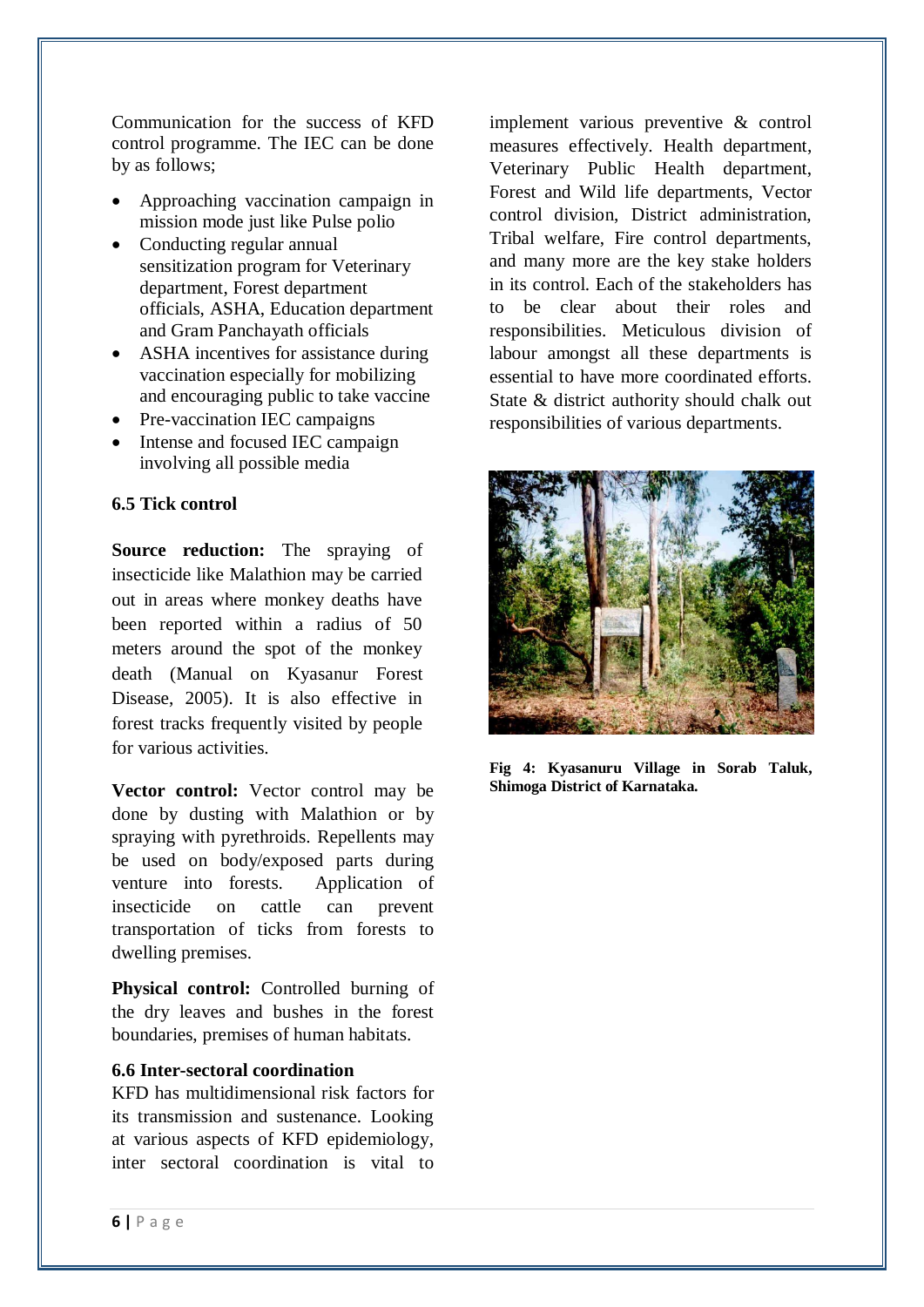Communication for the success of KFD control programme. The IEC can be done by as follows;

- Approaching vaccination campaign in mission mode just like Pulse polio
- Conducting regular annual sensitization program for Veterinary department, Forest department officials, ASHA, Education department and Gram Panchayath officials
- ASHA incentives for assistance during vaccination especially for mobilizing and encouraging public to take vaccine
- Pre-vaccination IEC campaigns
- Intense and focused IEC campaign involving all possible media

#### **6.5 Tick control**

**Source reduction:** The spraying of insecticide like Malathion may be carried out in areas where monkey deaths have been reported within a radius of 50 meters around the spot of the monkey death (Manual on Kyasanur Forest Disease, 2005). It is also effective in forest tracks frequently visited by people for various activities.

**Vector control:** Vector control may be done by dusting with Malathion or by spraying with pyrethroids. Repellents may be used on body/exposed parts during venture into forests. Application of insecticide on cattle can prevent transportation of ticks from forests to dwelling premises.

**Physical control:** Controlled burning of the dry leaves and bushes in the forest boundaries, premises of human habitats.

## **6.6 Inter-sectoral coordination**

KFD has multidimensional risk factors for its transmission and sustenance. Looking at various aspects of KFD epidemiology, inter sectoral coordination is vital to

implement various preventive & control measures effectively. Health department, Veterinary Public Health department, Forest and Wild life departments, Vector control division, District administration, Tribal welfare, Fire control departments, and many more are the key stake holders in its control. Each of the stakeholders has to be clear about their roles and responsibilities. Meticulous division of labour amongst all these departments is essential to have more coordinated efforts. State & district authority should chalk out responsibilities of various departments.



**Fig 4: Kyasanuru Village in Sorab Taluk, Shimoga District of Karnataka.**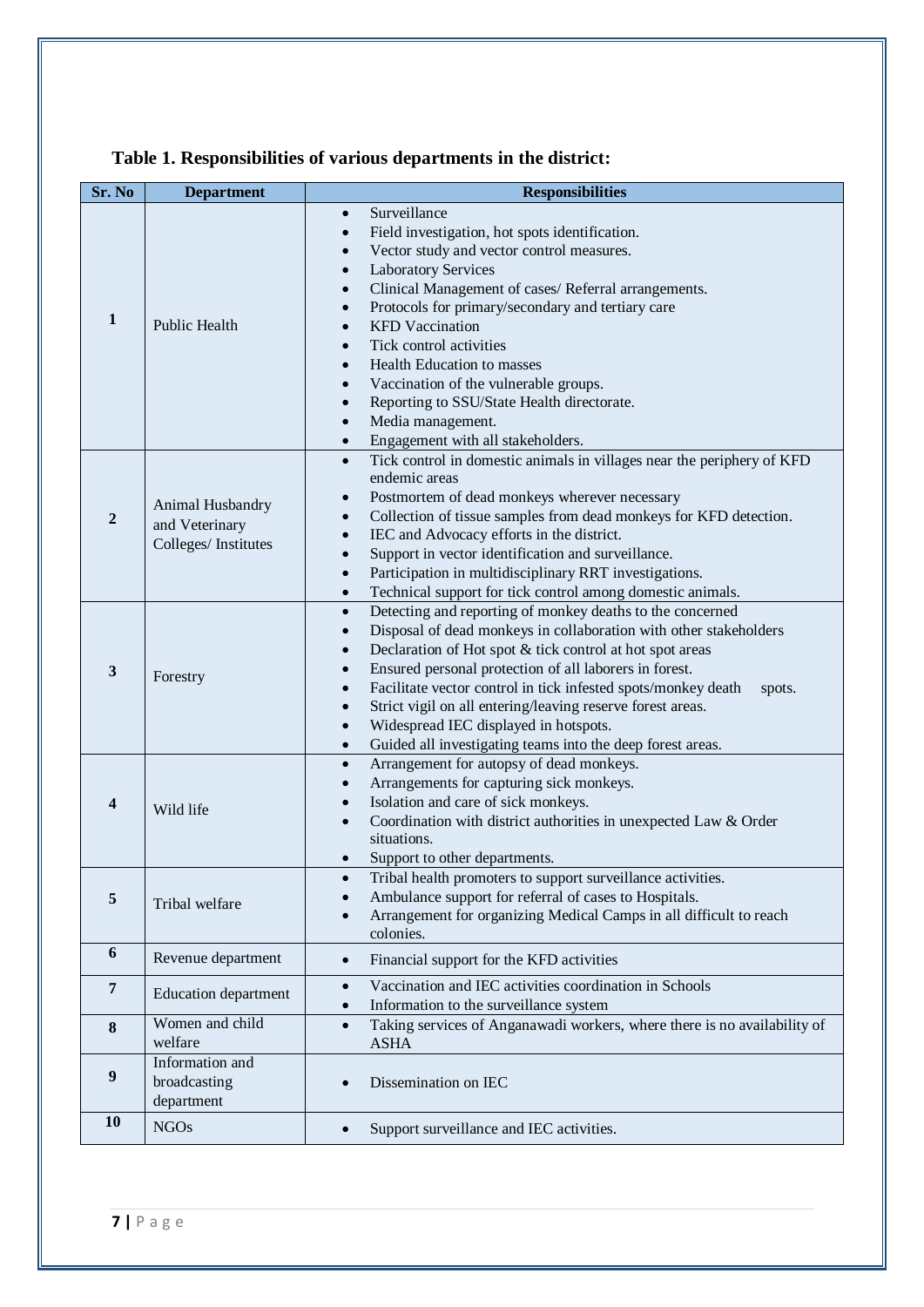| Sr. No           | <b>Department</b>                                         | <b>Responsibilities</b>                                                                                                                                                                                                                                                                                                                                                                                                                                                                                                                                                                                                                                                    |
|------------------|-----------------------------------------------------------|----------------------------------------------------------------------------------------------------------------------------------------------------------------------------------------------------------------------------------------------------------------------------------------------------------------------------------------------------------------------------------------------------------------------------------------------------------------------------------------------------------------------------------------------------------------------------------------------------------------------------------------------------------------------------|
| $\mathbf{1}$     | Public Health                                             | Surveillance<br>$\bullet$<br>Field investigation, hot spots identification.<br>$\bullet$<br>Vector study and vector control measures.<br>$\bullet$<br><b>Laboratory Services</b><br>$\bullet$<br>Clinical Management of cases/ Referral arrangements.<br>$\bullet$<br>Protocols for primary/secondary and tertiary care<br>$\bullet$<br><b>KFD</b> Vaccination<br>$\bullet$<br>Tick control activities<br>$\bullet$<br><b>Health Education to masses</b><br>$\bullet$<br>Vaccination of the vulnerable groups.<br>$\bullet$<br>Reporting to SSU/State Health directorate.<br>$\bullet$<br>Media management.<br>$\bullet$<br>Engagement with all stakeholders.<br>$\bullet$ |
| $\overline{2}$   | Animal Husbandry<br>and Veterinary<br>Colleges/Institutes | Tick control in domestic animals in villages near the periphery of KFD<br>$\bullet$<br>endemic areas<br>Postmortem of dead monkeys wherever necessary<br>$\bullet$<br>Collection of tissue samples from dead monkeys for KFD detection.<br>$\bullet$<br>IEC and Advocacy efforts in the district.<br>$\bullet$<br>Support in vector identification and surveillance.<br>$\bullet$<br>Participation in multidisciplinary RRT investigations.<br>$\bullet$<br>Technical support for tick control among domestic animals.<br>$\bullet$                                                                                                                                        |
| $\mathbf{3}$     | Forestry                                                  | Detecting and reporting of monkey deaths to the concerned<br>$\bullet$<br>Disposal of dead monkeys in collaboration with other stakeholders<br>$\bullet$<br>Declaration of Hot spot & tick control at hot spot areas<br>$\bullet$<br>Ensured personal protection of all laborers in forest.<br>$\bullet$<br>Facilitate vector control in tick infested spots/monkey death<br>spots.<br>$\bullet$<br>Strict vigil on all entering/leaving reserve forest areas.<br>$\bullet$<br>Widespread IEC displayed in hotspots.<br>$\bullet$<br>Guided all investigating teams into the deep forest areas.<br>$\bullet$                                                               |
| 4                | Wild life                                                 | Arrangement for autopsy of dead monkeys.<br>$\bullet$<br>Arrangements for capturing sick monkeys.<br>$\bullet$<br>Isolation and care of sick monkeys.<br>$\bullet$<br>Coordination with district authorities in unexpected Law & Order<br>situations.<br>Support to other departments.                                                                                                                                                                                                                                                                                                                                                                                     |
| 5                | Tribal welfare                                            | Tribal health promoters to support surveillance activities.<br>Ambulance support for referral of cases to Hospitals.<br>Arrangement for organizing Medical Camps in all difficult to reach<br>$\bullet$<br>colonies.                                                                                                                                                                                                                                                                                                                                                                                                                                                       |
| 6                | Revenue department                                        | Financial support for the KFD activities<br>$\bullet$                                                                                                                                                                                                                                                                                                                                                                                                                                                                                                                                                                                                                      |
| $\overline{7}$   | <b>Education department</b>                               | Vaccination and IEC activities coordination in Schools<br>$\bullet$<br>Information to the surveillance system<br>$\bullet$                                                                                                                                                                                                                                                                                                                                                                                                                                                                                                                                                 |
| 8                | Women and child<br>welfare                                | Taking services of Anganawadi workers, where there is no availability of<br>$\bullet$<br><b>ASHA</b>                                                                                                                                                                                                                                                                                                                                                                                                                                                                                                                                                                       |
| $\boldsymbol{9}$ | Information and<br>broadcasting<br>department             | Dissemination on IEC                                                                                                                                                                                                                                                                                                                                                                                                                                                                                                                                                                                                                                                       |
| <b>10</b>        | <b>NGOs</b>                                               | Support surveillance and IEC activities.                                                                                                                                                                                                                                                                                                                                                                                                                                                                                                                                                                                                                                   |

# **Table 1. Responsibilities of various departments in the district:**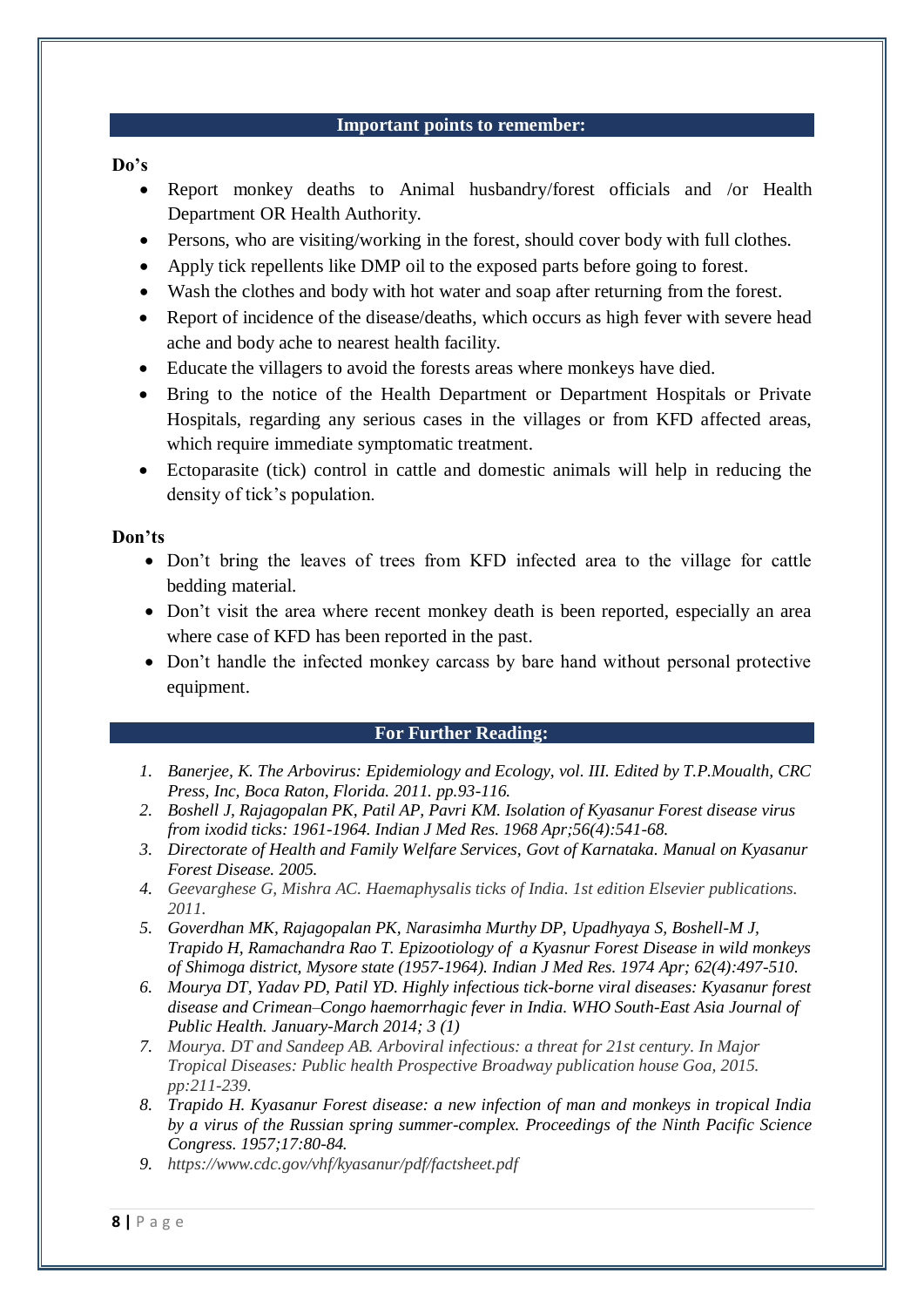#### **Important points to remember:**

# **Do's**

- Report monkey deaths to Animal husbandry/forest officials and /or Health Department OR Health Authority.
- Persons, who are visiting/working in the forest, should cover body with full clothes.
- Apply tick repellents like DMP oil to the exposed parts before going to forest.
- Wash the clothes and body with hot water and soap after returning from the forest.
- Report of incidence of the disease/deaths, which occurs as high fever with severe head ache and body ache to nearest health facility.
- Educate the villagers to avoid the forests areas where monkeys have died.
- Bring to the notice of the Health Department or Department Hospitals or Private Hospitals, regarding any serious cases in the villages or from KFD affected areas, which require immediate symptomatic treatment.
- Ectoparasite (tick) control in cattle and domestic animals will help in reducing the density of tick's population.

#### **Don'ts**

- Don't bring the leaves of trees from KFD infected area to the village for cattle bedding material.
- Don't visit the area where recent monkey death is been reported, especially an area where case of KFD has been reported in the past.
- Don't handle the infected monkey carcass by bare hand without personal protective equipment.

#### **For Further Reading:**

- *1. Banerjee, K. The Arbovirus: Epidemiology and Ecology, vol. III. Edited by T.P.Moualth, CRC Press, Inc, Boca Raton, Florida. 2011. pp.93-116.*
- *2. Boshell J, Rajagopalan PK, Patil AP, Pavri KM. Isolation of Kyasanur Forest disease virus from ixodid ticks: 1961-1964. Indian J Med Res. 1968 Apr;56(4):541-68.*
- *3. Directorate of Health and Family Welfare Services, Govt of Karnataka. Manual on Kyasanur Forest Disease. 2005.*
- *4. Geevarghese G, Mishra AC. Haemaphysalis ticks of India. 1st edition Elsevier publications. 2011.*
- *5. Goverdhan MK, Rajagopalan PK, Narasimha Murthy DP, Upadhyaya S, Boshell-M J, Trapido H, Ramachandra Rao T. Epizootiology of a Kyasnur Forest Disease in wild monkeys of Shimoga district, Mysore state (1957-1964). Indian J Med Res. 1974 Apr; 62(4):497-510.*
- *6. Mourya DT, Yadav PD, Patil YD. Highly infectious tick-borne viral diseases: Kyasanur forest disease and Crimean–Congo haemorrhagic fever in India. WHO South-East Asia Journal of Public Health. January-March 2014; 3 (1)*
- *7. Mourya. DT and Sandeep AB. Arboviral infectious: a threat for 21st century. In Major Tropical Diseases: Public health Prospective Broadway publication house Goa, 2015. pp:211-239.*
- *8. Trapido H. Kyasanur Forest disease: a new infection of man and monkeys in tropical India by a virus of the Russian spring summer-complex. Proceedings of the Ninth Pacific Science Congress. 1957;17:80-84.*
- *9. <https://www.cdc.gov/vhf/kyasanur/pdf/factsheet.pdf>*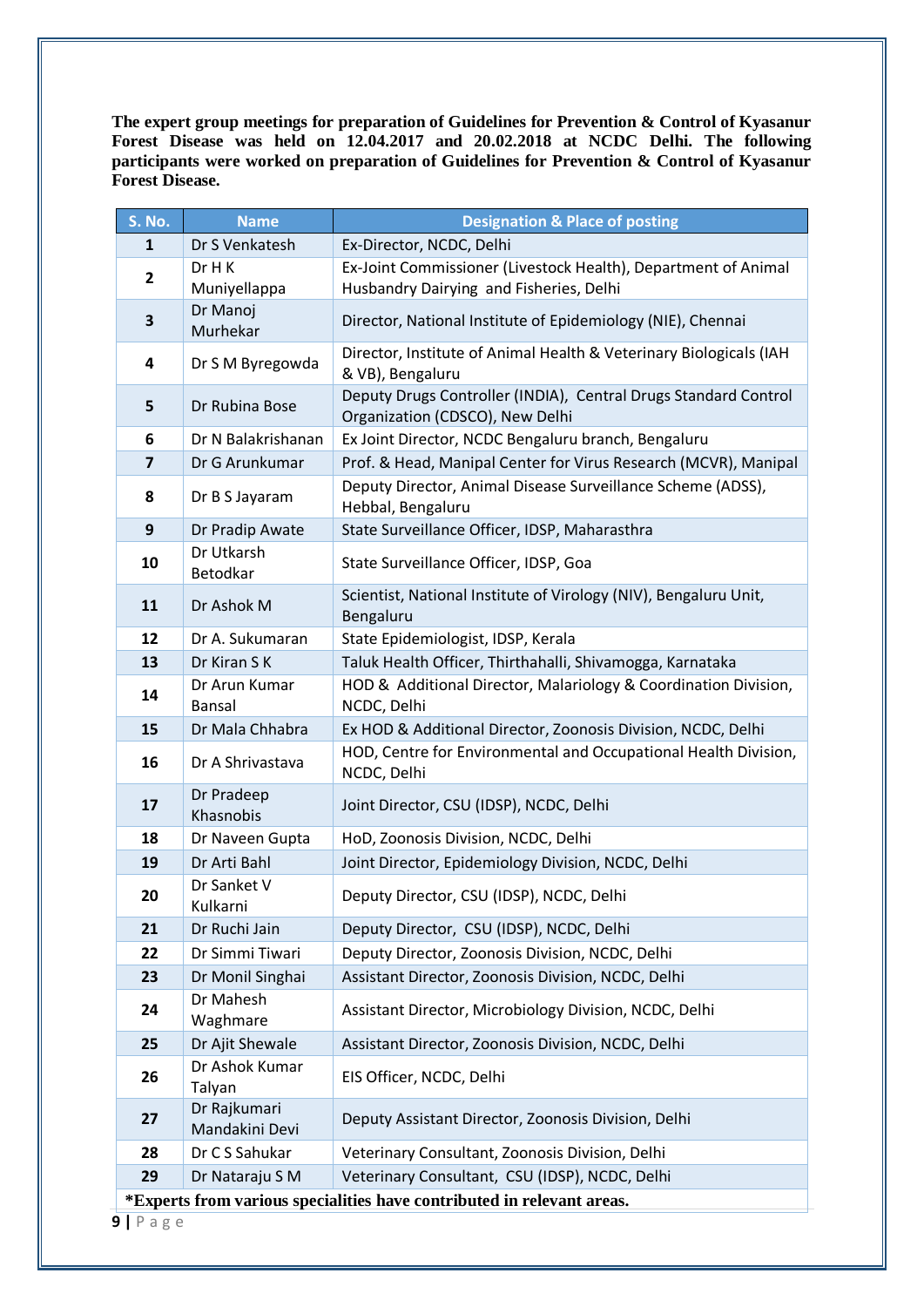**The expert group meetings for preparation of Guidelines for Prevention & Control of Kyasanur Forest Disease was held on 12.04.2017 and 20.02.2018 at NCDC Delhi. The following participants were worked on preparation of Guidelines for Prevention & Control of Kyasanur Forest Disease.**

| S. No.                                                                 | <b>Name</b>                    | <b>Designation &amp; Place of posting</b>                                                                 |  |
|------------------------------------------------------------------------|--------------------------------|-----------------------------------------------------------------------------------------------------------|--|
| 1                                                                      | Dr S Venkatesh                 | Ex-Director, NCDC, Delhi                                                                                  |  |
| 2                                                                      | Dr H K<br>Muniyellappa         | Ex-Joint Commissioner (Livestock Health), Department of Animal<br>Husbandry Dairying and Fisheries, Delhi |  |
| 3                                                                      | Dr Manoj<br>Murhekar           | Director, National Institute of Epidemiology (NIE), Chennai                                               |  |
| 4                                                                      | Dr S M Byregowda               | Director, Institute of Animal Health & Veterinary Biologicals (IAH<br>& VB), Bengaluru                    |  |
| 5                                                                      | Dr Rubina Bose                 | Deputy Drugs Controller (INDIA), Central Drugs Standard Control<br>Organization (CDSCO), New Delhi        |  |
| 6                                                                      | Dr N Balakrishanan             | Ex Joint Director, NCDC Bengaluru branch, Bengaluru                                                       |  |
| $\overline{\mathbf{z}}$                                                | Dr G Arunkumar                 | Prof. & Head, Manipal Center for Virus Research (MCVR), Manipal                                           |  |
| 8                                                                      | Dr B S Jayaram                 | Deputy Director, Animal Disease Surveillance Scheme (ADSS),<br>Hebbal, Bengaluru                          |  |
| 9                                                                      | Dr Pradip Awate                | State Surveillance Officer, IDSP, Maharasthra                                                             |  |
| 10                                                                     | Dr Utkarsh<br>Betodkar         | State Surveillance Officer, IDSP, Goa                                                                     |  |
| 11                                                                     | Dr Ashok M                     | Scientist, National Institute of Virology (NIV), Bengaluru Unit,<br>Bengaluru                             |  |
| 12                                                                     | Dr A. Sukumaran                | State Epidemiologist, IDSP, Kerala                                                                        |  |
| 13                                                                     | Dr Kiran S K                   | Taluk Health Officer, Thirthahalli, Shivamogga, Karnataka                                                 |  |
| 14                                                                     | Dr Arun Kumar<br>Bansal        | HOD & Additional Director, Malariology & Coordination Division,<br>NCDC, Delhi                            |  |
| 15                                                                     | Dr Mala Chhabra                | Ex HOD & Additional Director, Zoonosis Division, NCDC, Delhi                                              |  |
| 16                                                                     | Dr A Shrivastava               | HOD, Centre for Environmental and Occupational Health Division,<br>NCDC, Delhi                            |  |
| 17                                                                     | Dr Pradeep<br>Khasnobis        | Joint Director, CSU (IDSP), NCDC, Delhi                                                                   |  |
| 18                                                                     | Dr Naveen Gupta                | HoD, Zoonosis Division, NCDC, Delhi                                                                       |  |
| 19                                                                     | Dr Arti Bahl                   | Joint Director, Epidemiology Division, NCDC, Delhi                                                        |  |
| 20                                                                     | Dr Sanket V<br>Kulkarni        | Deputy Director, CSU (IDSP), NCDC, Delhi                                                                  |  |
| 21                                                                     | Dr Ruchi Jain                  | Deputy Director, CSU (IDSP), NCDC, Delhi                                                                  |  |
| 22                                                                     | Dr Simmi Tiwari                | Deputy Director, Zoonosis Division, NCDC, Delhi                                                           |  |
| 23                                                                     | Dr Monil Singhai               | Assistant Director, Zoonosis Division, NCDC, Delhi                                                        |  |
| 24                                                                     | Dr Mahesh<br>Waghmare          | Assistant Director, Microbiology Division, NCDC, Delhi                                                    |  |
| 25                                                                     | Dr Ajit Shewale                | Assistant Director, Zoonosis Division, NCDC, Delhi                                                        |  |
| 26                                                                     | Dr Ashok Kumar<br>Talyan       | EIS Officer, NCDC, Delhi                                                                                  |  |
| 27                                                                     | Dr Rajkumari<br>Mandakini Devi | Deputy Assistant Director, Zoonosis Division, Delhi                                                       |  |
| 28                                                                     | Dr C S Sahukar                 | Veterinary Consultant, Zoonosis Division, Delhi                                                           |  |
| 29                                                                     | Dr Nataraju S M                | Veterinary Consultant, CSU (IDSP), NCDC, Delhi                                                            |  |
| *Experts from various specialities have contributed in relevant areas. |                                |                                                                                                           |  |

**9 |** P a g e